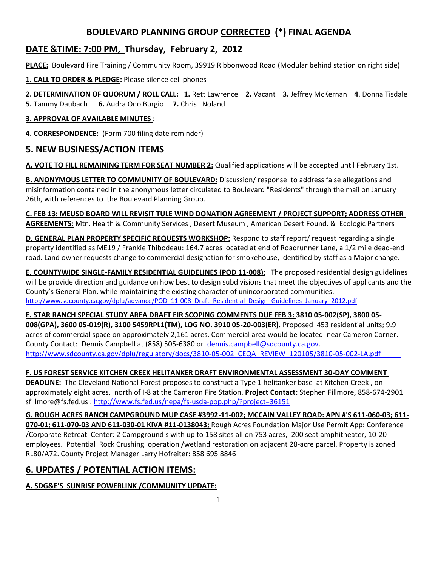# **BOULEVARD PLANNING GROUP CORRECTED (\*) FINAL AGENDA**

# **DATE &TIME: 7:00 PM, Thursday, February 2, 2012**

**PLACE:** Boulevard Fire Training / Community Room, 39919 Ribbonwood Road (Modular behind station on right side)

**1. CALL TO ORDER & PLEDGE:** Please silence cell phones

**2. DETERMINATION OF QUORUM / ROLL CALL: 1.** Rett Lawrence **2.** Vacant **3.** Jeffrey McKernan **4**. Donna Tisdale **5.** Tammy Daubach **6.** Audra Ono Burgio **7.** Chris Noland

#### **3. APPROVAL OF AVAILABLE MINUTES :**

**4. CORRESPONDENCE:** (Form 700 filing date reminder)

## **5. NEW BUSINESS/ACTION ITEMS**

**A. VOTE TO FILL REMAINING TERM FOR SEAT NUMBER 2:** Qualified applications will be accepted until February 1st.

**B. ANONYMOUS LETTER TO COMMUNITY OF BOULEVARD:** Discussion/ response to address false allegations and misinformation contained in the anonymous letter circulated to Boulevard "Residents" through the mail on January 26th, with references to the Boulevard Planning Group.

**C. FEB 13: MEUSD BOARD WILL REVISIT TULE WIND DONATION AGREEMENT / PROJECT SUPPORT; ADDRESS OTHER AGREEMENTS:** Mtn. Health & Community Services , Desert Museum , American Desert Found. & Ecologic Partners

**D. GENERAL PLAN PROPERTY SPECIFIC REQUESTS WORKSHOP:** Respond to staff report/ request regarding a single property identified as ME19 / Frankie Thibodeau: 164.7 acres located at end of Roadrunner Lane, a 1/2 mile dead-end road. Land owner requests change to commercial designation for smokehouse, identified by staff as a Major change.

**E. COUNTYWIDE SINGLE-FAMILY RESIDENTIAL GUIDELINES (POD 11-008):** The proposed residential design guidelines will be provide direction and guidance on how best to design subdivisions that meet the objectives of applicants and the County's General Plan, while maintaining the existing character of unincorporated communities. http://www.sdcounty.ca.gov/dplu/advance/POD\_11-008\_Draft\_Residential\_Design\_Guidelines\_January\_2012.pdf

**E. STAR RANCH SPECIAL STUDY AREA DRAFT EIR SCOPING COMMENTS DUE FEB 3: 3810 05-002(SP), 3800 05- 008(GPA), 3600 05-019(R), 3100 5459RPL1(TM), LOG NO. 3910 05-20-003(ER).** Proposed 453 residential units; 9.9 acres of commercial space on approximately 2,161 acres. Commercial area would be located near Cameron Corner. County Contact: Dennis Campbell at (858) 505-6380 or [dennis.campbell@sdcounty.ca.gov.](file:///C:/Users/Donna%20and%20Ed/Documents/dennis.campbell@sdcounty.ca.gov) [http://www.sdcounty.ca.gov/dplu/regulatory/docs/3810-05-002\\_CEQA\\_REVIEW\\_120105/3810-05-002-LA.pdf](http://www.sdcounty.ca.gov/dplu/regulatory/docs/3810-05-002_CEQA_REVIEW_120105/3810-05-002-LA.pdf)

## **F. US FOREST SERVICE KITCHEN CREEK HELITANKER DRAFT ENVIRONMENTAL ASSESSMENT 30-DAY COMMENT**

**DEADLINE:** The Cleveland National Forest proposes to construct a Type 1 helitanker base at Kitchen Creek , on approximately eight acres, north of I-8 at the Cameron Fire Station. **Project Contact:** Stephen Fillmore, 858-674-2901 sfillmore@fs.fed.us :<http://www.fs.fed.us/nepa/fs-usda-pop.php/?project=36151>

**G. ROUGH ACRES RANCH CAMPGROUND MUP CASE #3992-11-002; MCCAIN VALLEY ROAD: APN #'S 611-060-03; 611- 070-01; 611-070-03 AND 611-030-01 KIVA #11-0138043;** Rough Acres Foundation Major Use Permit App: Conference /Corporate Retreat Center: 2 Campground s with up to 158 sites all on 753 acres, 200 seat amphitheater, 10-20 employees. Potential Rock Crushing operation /wetland restoration on adjacent 28-acre parcel. Property is zoned RL80/A72. County Project Manager Larry Hofreiter: 858 695 8846

## **6. UPDATES / POTENTIAL ACTION ITEMS:**

## **A. SDG&E'S SUNRISE POWERLINK /COMMUNITY UPDATE:**